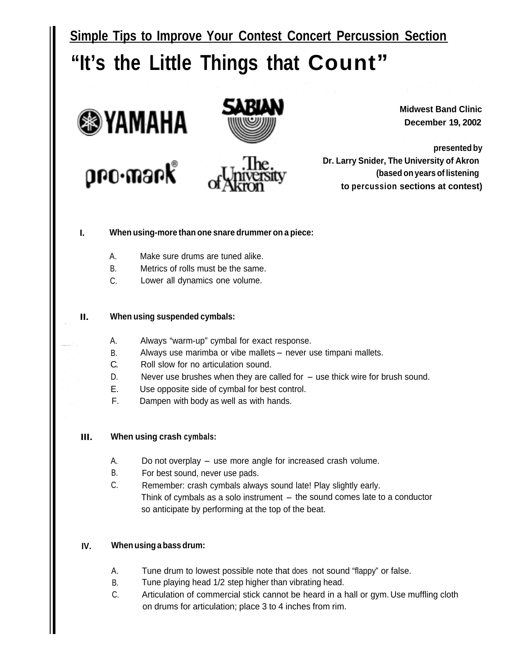**Simple Tips to Improve Your Contest Concert Percussion Section**



**Midwest Band Clinic December 19, 2002**

**presented by Dr. Larry Snider, The University of Akron (based on years of listening to percussion sections at contest)**

#### **I. When using-more than one snare drummer on a piece:**

- A. Make sure drums are tuned alike.
- B. Metrics of rolls must be the same.
- C. Lower all dynamics one volume.

#### **II. When using suspended cymbals:**

- A. Always "warm-up" cymbal for exact response.
- B. Always use marimba or vibe mallets never use timpani mallets.<br>C. Roll slow for no articulation sound.
- Roll slow for no articulation sound.
- $D.$  Never use brushes when they are called for  $-$  use thick wire for brush sound.
- E. Use opposite side of cymbal for best control.
- F. Dampen with body as well as with hands.

#### **III. When using crash cymbals:**

- A. Do not overplay use more angle for increased crash volume.
- B. For best sound, never use pads.
- C. Remember: crash cymbals always sound late! Play slightly early. Think of cymbals as a solo instrument  $-$  the sound comes late to a conductor so anticipate by performing at the top of the beat.

#### **IV. When using a bass drum:**

- A. Tune drum to lowest possible note that does not sound "flappy" or false.
- B. Tune playing head 1/2 step higher than vibrating head.
- C. Articulation of commercial stick cannot be heard in a hall or gym. Use muffling cloth on drums for articulation; place 3 to 4 inches from rim.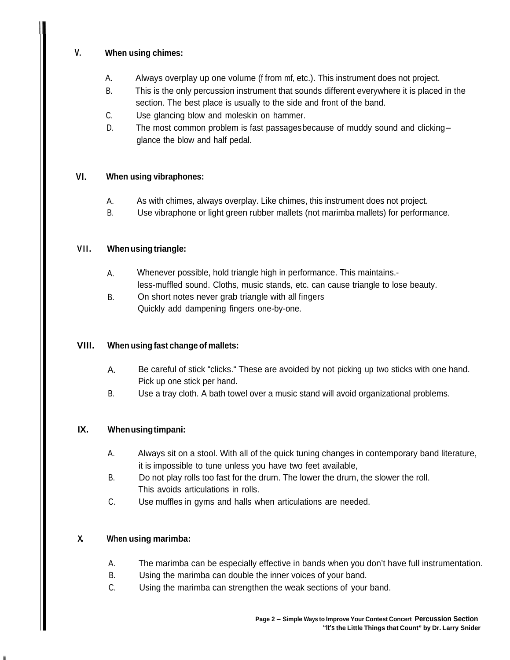#### **V. When using chimes:**

- A. Always overplay up one volume (f from mf, etc.). This instrument does not project.
- B. This is the only percussion instrument that sounds different everywhere it is placed in the section. The best place is usually to the side and front of the band.
- C. Use glancing blow and moleskin on hammer.
- D. The most common problem is fast passages because of muddy sound and clickingglance the blow and half pedal.

#### **VI. When using vibraphones:**

- A. As with chimes, always overplay. Like chimes, this instrument does not project.
- B. Use vibraphone or light green rubber mallets (not marimba mallets) for performance.

#### **VII. When using triangle:**

- A. Whenever possible, hold triangle high in performance. This maintains. less-muffled sound. Cloths, music stands, etc. can cause triangle to lose beauty.
- B. On short notes never grab triangle with all fingers Quickly add dampening fingers one-by-one.

### **VIII. When using fast change of mallets:**

- A. Be careful of stick "clicks." These are avoided by not picking up two sticks with one hand. Pick up one stick per hand.
- B. Use a tray cloth. A bath towel over a music stand will avoid organizational problems.

### **IX. When using timpani:**

- A. Always sit on a stool. With all of the quick tuning changes in contemporary band literature, it is impossible to tune unless you have two feet available,
- B. Do not play rolls too fast for the drum. The lower the drum, the slower the roll. This avoids articulations in rolls.
- C. Use muffles in gyms and halls when articulations are needed.

### **X.. When using marimba:**

- A. The marimba can be especially effective in bands when you don't have full instrumentation.
- B. Using the marimba can double the inner voices of your band.
- C. Using the marimba can strengthen the weak sections of your band.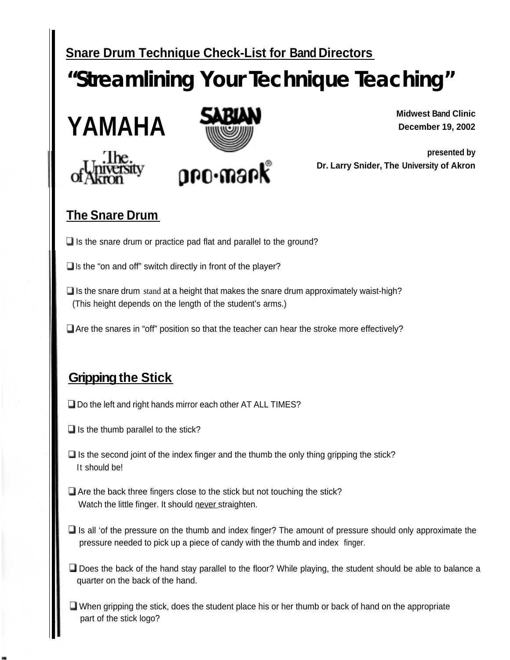# **Snare Drum Technique Check-List for Band Directors "Streamlining Your Technique Teaching" Example 19 Your Transformation**<br> **YAMAHA** SABUN







**Midwest Band Clinic December 19, 2002** 

**presented by Dr. Larry Snider, The University of Akron**

# **The Snare Drum**

 $\Box$  Is the snare drum or practice pad flat and parallel to the ground?

 $\Box$  Is the "on and off" switch directly in front of the player?

- $\Box$  Is the snare drum stand at a height that makes the snare drum approximately waist-high? (This height depends on the length of the student's arms.)
- $\Box$  Are the snares in "off" position so that the teacher can hear the stroke more effectively?

# **Gripping the Stick**

- $\Box$  Do the left and right hands mirror each other AT ALL TIMES?
- $\Box$  Is the thumb parallel to the stick?
- $\Box$  Is the second joint of the index finger and the thumb the only thing gripping the stick? It should be!
- $\Box$  Are the back three fingers close to the stick but not touching the stick? Watch the little finger. It should never straighten.
- $\Box$  Is all 'of the pressure on the thumb and index finger? The amount of pressure should only approximate the pressure needed to pick up a piece of candy with the thumb and index finger.
- $\Box$  Does the back of the hand stay parallel to the floor? While playing, the student should be able to balance a quarter on the back of the hand.
- $\Box$  When gripping the stick, does the student place his or her thumb or back of hand on the appropriate part of the stick logo?